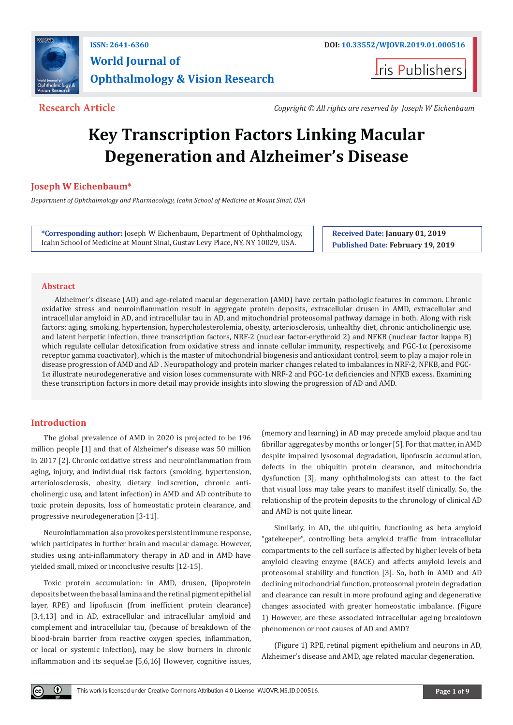

**ISSN: 2641-6360 DOI: [10.33552/WJOVR.2019.01.000516](http://dx.doi.org/10.33552/WJOVR.2019.01.000516) World Journal of Ophthalmology & Vision Research**

**Iris Publishers** 

**Research Article** *Copyright © All rights are reserved by Joseph W Eichenbaum*

# **Key Transcription Factors Linking Macular Degeneration and Alzheimer's Disease**

**Joseph W Eichenbaum\***

*Department of Ophthalmology and Pharmacology, Icahn School of Medicine at Mount Sinai, USA*

**\*Corresponding author:** Joseph W Eichenbaum, Department of Ophthalmology, Icahn School of Medicine at Mount Sinai, Gustav Levy Place, NY, NY 10029, USA.

**Received Date: January 01, 2019 Published Date: February 19, 2019**

# **Abstract**

Alzheimer's disease (AD) and age-related macular degeneration (AMD) have certain pathologic features in common. Chronic oxidative stress and neuroinflammation result in aggregate protein deposits, extracellular drusen in AMD, extracellular and intracellular amyloid in AD, and intracellular tau in AD, and mitochondrial proteosomal pathway damage in both. Along with risk factors: aging, smoking, hypertension, hypercholesterolemia, obesity, arteriosclerosis, unhealthy diet, chronic anticholinergic use, and latent herpetic infection, three transcription factors, NRF-2 (nuclear factor-erythroid 2) and NFKB (nuclear factor kappa B) which regulate cellular detoxification from oxidative stress and innate cellular immunity, respectively, and PGC-1α (peroxisome receptor gamma coactivator), which is the master of mitochondrial biogenesis and antioxidant control, seem to play a major role in disease progression of AMD and AD . Neuropathology and protein marker changes related to imbalances in NRF-2, NFKB, and PGC-1α illustrate neurodegenerative and vision loses commensurate with NRF-2 and PGC-1α deficiencies and NFKB excess. Examining these transcription factors in more detail may provide insights into slowing the progression of AD and AMD.

# **Introduction**

The global prevalence of AMD in 2020 is projected to be 196 million people [1] and that of Alzheimer's disease was 50 million in 2017 [2]. Chronic oxidative stress and neuroinflammation from aging, injury, and individual risk factors (smoking, hypertension, arteriolosclerosis, obesity, dietary indiscretion, chronic anticholinergic use, and latent infection) in AMD and AD contribute to toxic protein deposits, loss of homeostatic protein clearance, and progressive neurodegeneration [3-11].

Neuroinflammation also provokes persistent immune response, which participates in further brain and macular damage. However, studies using anti-inflammatory therapy in AD and in AMD have yielded small, mixed or inconclusive results [12-15].

Toxic protein accumulation: in AMD, drusen, (lipoprotein deposits between the basal lamina and the retinal pigment epithelial layer, RPE) and lipofuscin (from inefficient protein clearance) [3,4,13] and in AD, extracellular and intracellular amyloid and complement and intracellular tau, (because of breakdown of the blood-brain barrier from reactive oxygen species, inflammation, or local or systemic infection), may be slow burners in chronic inflammation and its sequelae [5,6,16] However, cognitive issues,

(memory and learning) in AD may precede amyloid plaque and tau fibrillar aggregates by months or longer [5]. For that matter, in AMD despite impaired lysosomal degradation, lipofuscin accumulation, defects in the ubiquitin protein clearance, and mitochondria dysfunction [3], many ophthalmologists can attest to the fact that visual loss may take years to manifest itself clinically. So, the relationship of the protein deposits to the chronology of clinical AD and AMD is not quite linear.

Similarly, in AD, the ubiquitin, functioning as beta amyloid "gatekeeper", controlling beta amyloid traffic from intracellular compartments to the cell surface is affected by higher levels of beta amyloid cleaving enzyme (BACE) and affects amyloid levels and proteosomal stability and function [3]. So, both in AMD and AD declining mitochondrial function, proteosomal protein degradation and clearance can result in more profound aging and degenerative changes associated with greater homeostatic imbalance. (Figure 1) However, are these associated intracellular ageing breakdown phenomenon or root causes of AD and AMD?

(Figure 1) RPE, retinal pigment epithelium and neurons in AD, Alzheimer's disease and AMD, age related macular degeneration.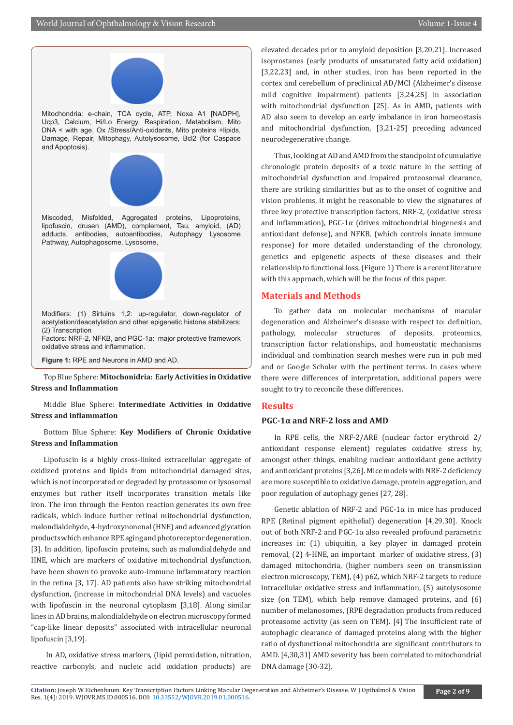

Mitochondria: e-chain, TCA cycle, ATP, Noxa A1 [NADPH], Ucp3, Calcium, Hi/Lo Energy, Respiration, Metabolism, Mito DNA < with age, Ox /Stress/Anti-oxidants, Mito proteins +lipids, Damage, Repair, Mitophagy, Autolysosome, Bcl2 (for Caspace and Apoptosis).



Miscoded, Misfolded, Aggregated proteins, Lipoproteins, lipofuscin, drusen (AMD), complement, Tau, amyloid, (AD) adducts, antibodies, autoantibodies, Autophagy Lysosome Pathway, Autophagosome, Lysosome,



Modifiers: (1) Sirtuins 1,2: up-regulator, down-regulator of acetylation/deacetylation and other epigenetic histone stabilizers; (2) Transcription

Factors: NRF-2, NFKB, and PGC-1a: major protective framework oxidative stress and inflammation.

**Figure 1:** RPE and Neurons in AMD and AD.

Top Blue Sphere: **Mitochonidria: Early Activities in Oxidative Stress and Inflammation**

# Middle Blue Sphere: **Intermediate Activities in Oxidative Stress and inflammation**

# Bottom Blue Sphere: **Key Modifiers of Chronic Oxidative Stress and Inflammation**

Lipofuscin is a highly cross-linked extracellular aggregate of oxidized proteins and lipids from mitochondrial damaged sites, which is not incorporated or degraded by proteasome or lysosomal enzymes but rather itself incorporates transition metals like iron. The iron through the Fenton reaction generates its own free radicals, which induce further retinal mitochondrial dysfunction, malondialdehyde, 4-hydroxynonenal (HNE) and advanced glycation products which enhance RPE aging and photoreceptor degeneration. [3]. In addition, lipofuscin proteins, such as malondialdehyde and HNE, which are markers of oxidative mitochondrial dysfunction, have been shown to provoke auto-immune inflammatory reaction in the retina [3, 17]. AD patients also have striking mitochondrial dysfunction, (increase in mitochondrial DNA levels) and vacuoles with lipofuscin in the neuronal cytoplasm [3,18]. Along similar lines in AD brains, malondialdehyde on electron microscopy formed "cap-like linear deposits" associated with intracellular neuronal lipofuscin [3,19].

 In AD, oxidative stress markers, (lipid peroxidation, nitration, reactive carbonyls, and nucleic acid oxidation products) are

elevated decades prior to amyloid deposition [3,20,21]. Increased isoprostanes (early products of unsaturated fatty acid oxidation) [3,22,23] and, in other studies, iron has been reported in the cortex and cerebellum of preclinical AD/MCI (Alzheimer's disease mild cognitive impairment) patients [3,24,25] in association with mitochondrial dysfunction [25]. As in AMD, patients with AD also seem to develop an early imbalance in iron homeostasis and mitochondrial dysfunction, [3,21-25] preceding advanced neurodegenerative change.

Thus, looking at AD and AMD from the standpoint of cumulative chronologic protein deposits of a toxic nature in the setting of mitochondrial dysfunction and impaired proteosomal clearance, there are striking similarities but as to the onset of cognitive and vision problems, it might be reasonable to view the signatures of three key protective transcription factors, NRF-2, (oxidative stress and inflammation), PGC-1α (drives mitochondrial biogenesis and antioxidant defense), and NFKB, (which controls innate immune response) for more detailed understanding of the chronology, genetics and epigenetic aspects of these diseases and their relationship to functional loss. (Figure 1) There is a recent literature with this approach, which will be the focus of this paper.

# **Materials and Methods**

To gather data on molecular mechanisms of macular degeneration and Alzheimer's disease with respect to: definition, pathology, molecular structures of deposits, proteomics, transcription factor relationships, and homeostatic mechanisms individual and combination search meshes were run in pub med and or Google Scholar with the pertinent terms. In cases where there were differences of interpretation, additional papers were sought to try to reconcile these differences.

## **Results**

# **PGC-1α and NRF-2 loss and AMD**

In RPE cells, the NRF-2/ARE (nuclear factor erythroid 2/ antioxidant response element) regulates oxidative stress by, amongst other things, enabling nuclear antioxidant gene activity and antioxidant proteins [3,26]. Mice models with NRF-2 deficiency are more susceptible to oxidative damage, protein aggregation, and poor regulation of autophagy genes [27, 28].

Genetic ablation of NRF-2 and PGC-1 $\alpha$  in mice has produced RPE (Retinal pigment epithelial) degeneration [4,29,30]. Knock out of both NRF-2 and PGC-1α also revealed profound parametric increases in: (1) ubiquitin, a key player in damaged protein removal, (2) 4-HNE, an important marker of oxidative stress, (3) damaged mitochondria, (higher numbers seen on transmission electron microscopy, TEM), (4) p62, which NRF-2 targets to reduce intracellular oxidative stress and inflammation, (5) autolysosome size (on TEM), which help remove damaged proteins, and (6) number of melanosomes, (RPE degradation products from reduced proteasome activity (as seen on TEM). [4] The insufficient rate of autophagic clearance of damaged proteins along with the higher ratio of dysfunctional mitochondria are significant contributors to AMD. [4,30,31] AMD severity has been correlated to mitochondrial DNA damage [30-32].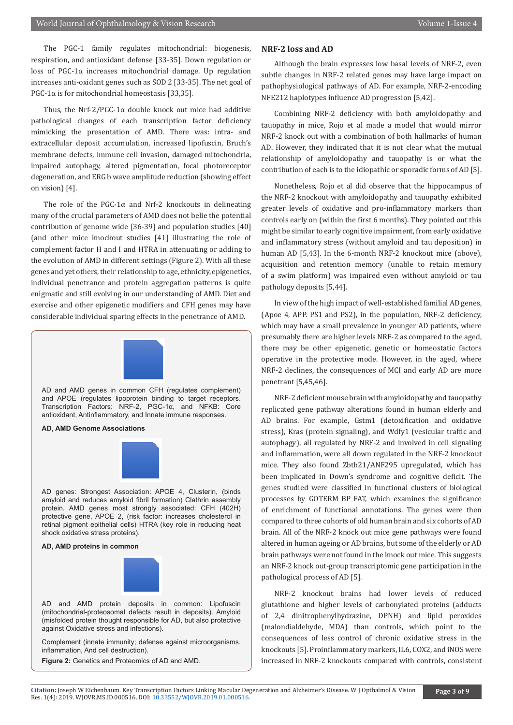The PGC-1 family regulates mitochondrial: biogenesis, respiration, and antioxidant defense [33-35]. Down regulation or loss of PGC-1 $α$  increases mitochondrial damage. Up regulation increases anti-oxidant genes such as SOD 2 [33-35]. The net goal of PGC-1 $\alpha$  is for mitochondrial homeostasis [33,35].

Thus, the Nrf-2/PGC-1 $\alpha$  double knock out mice had additive pathological changes of each transcription factor deficiency mimicking the presentation of AMD. There was: intra- and extracellular deposit accumulation, increased lipofuscin, Bruch's membrane defects, immune cell invasion, damaged mitochondria, impaired autophagy, altered pigmentation, focal photoreceptor degeneration, and ERG b wave amplitude reduction (showing effect on vision) [4].

The role of the PGC-1 $\alpha$  and Nrf-2 knockouts in delineating many of the crucial parameters of AMD does not belie the potential contribution of genome wide [36-39] and population studies [40] (and other mice knockout studies [41] illustrating the role of complement factor H and I and HTRA in attenuating or adding to the evolution of AMD in different settings (Figure 2). With all these genes and yet others, their relationship to age, ethnicity, epigenetics, individual penetrance and protein aggregation patterns is quite enigmatic and still evolving in our understanding of AMD. Diet and exercise and other epigenetic modifiers and CFH genes may have considerable individual sparing effects in the penetrance of AMD.



AD and AMD genes in common CFH (regulates complement) and APOE (regulates lipoprotein binding to target receptors. Transcription Factors: NRF-2, PGC-1α, and NFKB: Core antioxidant, Antinflammatory, and Innate immune responses.

#### **AD, AMD Genome Associations**



AD genes: Strongest Association: APOE 4, Clusterin, (binds amyloid and reduces amyloid fibril formation) Clathrin assembly protein. AMD genes most strongly associated: CFH (402H) protective gene, APOE 2, (risk factor: increases cholesterol in retinal pigment epithelial cells) HTRA (key role in reducing heat shock oxidative stress proteins).

#### **AD, AMD proteins in common**



AD and AMD protein deposits in common: Lipofuscin (mitochondrial-proteosomal defects result in deposits). Amyloid (misfolded protein thought responsible for AD, but also protective against Oxidative stress and infections).

Complement (innate immunity; defense against microorganisms, inflammation, And cell destruction).

**Figure 2:** Genetics and Proteomics of AD and AMD.

#### **NRF-2 loss and AD**

Although the brain expresses low basal levels of NRF-2, even subtle changes in NRF-2 related genes may have large impact on pathophysiological pathways of AD. For example, NRF-2-encoding NFE212 haplotypes influence AD progression [5,42].

Combining NRF-2 deficiency with both amyloidopathy and tauopathy in mice, Rojo et al made a model that would mirror NRF-2 knock out with a combination of both hallmarks of human AD. However, they indicated that it is not clear what the mutual relationship of amyloidopathy and tauopathy is or what the contribution of each is to the idiopathic or sporadic forms of AD [5].

Nonetheless, Rojo et al did observe that the hippocampus of the NRF-2 knockout with amyloidopathy and tauopathy exhibited greater levels of oxidative and pro-inflammatory markers than controls early on (within the first 6 months). They pointed out this might be similar to early cognitive impairment, from early oxidative and inflammatory stress (without amyloid and tau deposition) in human AD [5,43]. In the 6-month NRF-2 knockout mice (above), acquisition and retention memory (unable to retain memory of a swim platform) was impaired even without amyloid or tau pathology deposits [5,44].

In view of the high impact of well-established familial AD genes, (Apoe 4, APP. PS1 and PS2), in the population, NRF-2 deficiency, which may have a small prevalence in younger AD patients, where presumably there are higher levels NRF-2 as compared to the aged, there may be other epigenetic, genetic or homeostatic factors operative in the protective mode. However, in the aged, where NRF-2 declines, the consequences of MCI and early AD are more penetrant [5,45,46].

NRF-2 deficient mouse brain with amyloidopathy and tauopathy replicated gene pathway alterations found in human elderly and AD brains. For example, Gstm1 (detoxification and oxidative stress), Kras (protein signaling), and Wdfy1 (vesicular traffic and autophagy), all regulated by NRF-2 and involved in cell signaling and inflammation, were all down regulated in the NRF-2 knockout mice. They also found Zbtb21/ANF295 upregulated, which has been implicated in Down's syndrome and cognitive deficit. The genes studied were classified in functional clusters of biological processes by GOTERM\_BP\_FAT, which examines the significance of enrichment of functional annotations. The genes were then compared to three cohorts of old human brain and six cohorts of AD brain. All of the NRF-2 knock out mice gene pathways were found altered in human ageing or AD brains, but some of the elderly or AD brain pathways were not found in the knock out mice. This suggests an NRF-2 knock out-group transcriptomic gene participation in the pathological process of AD [5].

NRF-2 knockout brains had lower levels of reduced glutathione and higher levels of carbonylated proteins (adducts of 2,4 dinitrophenylhydrazine, DPNH) and lipid peroxides (malondialdehyde, MDA) than controls, which point to the consequences of less control of chronic oxidative stress in the knockouts [5]. Proinflammatory markers, IL6, COX2, and iNOS were increased in NRF-2 knockouts compared with controls, consistent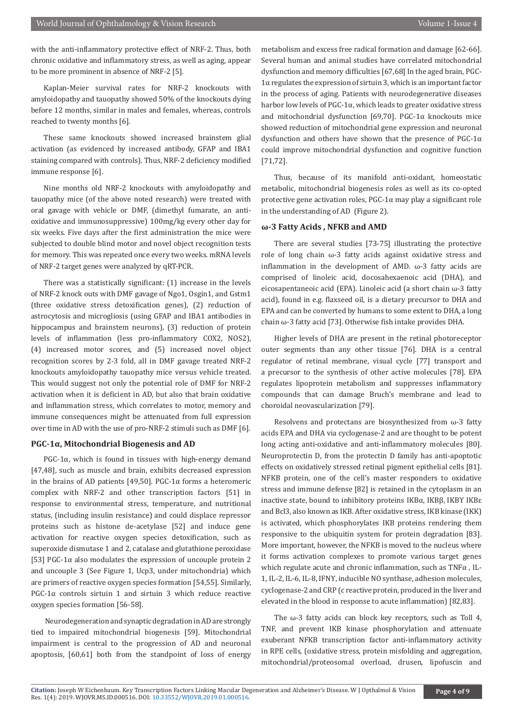with the anti-inflammatory protective effect of NRF-2. Thus, both chronic oxidative and inflammatory stress, as well as aging, appear to be more prominent in absence of NRF-2 [5].

Kaplan-Meier survival rates for NRF-2 knockouts with amyloidopathy and tauopathy showed 50% of the knockouts dying before 12 months, similar in males and females, whereas, controls reached to twenty months [6].

These same knockouts showed increased brainstem glial activation (as evidenced by increased antibody, GFAP and IBA1 staining compared with controls). Thus, NRF-2 deficiency modified immune response [6].

Nine months old NRF-2 knockouts with amyloidopathy and tauopathy mice (of the above noted research) were treated with oral gavage with vehicle or DMF, (dimethyl fumarate, an antioxidative and immunosuppressive) 100mg/kg every other day for six weeks. Five days after the first administration the mice were subjected to double blind motor and novel object recognition tests for memory. This was repeated once every two weeks. mRNA levels of NRF-2 target genes were analyzed by qRT-PCR.

There was a statistically significant: (1) increase in the levels of NRF-2 knock outs with DMF gavage of Ngo1, Osgin1, and Gstm1 (three oxidative stress detoxification genes), (2) reduction of astrocytosis and microgliosis (using GFAP and IBA1 antibodies in hippocampus and brainstem neurons), (3) reduction of protein levels of inflammation (less pro-inflammatory COX2, NOS2), (4) increased motor scores, and (5) increased novel object recognition scores by 2-3 fold, all in DMF gavage treated NRF-2 knockouts amyloidopathy tauopathy mice versus vehicle treated. This would suggest not only the potential role of DMF for NRF-2 activation when it is deficient in AD, but also that brain oxidative and inflammation stress, which correlates to motor, memory and immune consequences might be attenuated from full expression over time in AD with the use of pro-NRF-2 stimuli such as DMF [6].

# **PGC-1α, Mitochondrial Biogenesis and AD**

PGC-1 $\alpha$ , which is found in tissues with high-energy demand [47,48], such as muscle and brain, exhibits decreased expression in the brains of AD patients [49,50]. PGC-1α forms a heteromeric complex with NRF-2 and other transcription factors [51] in response to environmental stress, temperature, and nutritional status, (including insulin resistance) and could displace repressor proteins such as histone de-acetylase [52] and induce gene activation for reactive oxygen species detoxification, such as superoxide dismutase 1 and 2, catalase and glutathione peroxidase [53] PGC-1 $\alpha$  also modulates the expression of uncouple protein 2 and uncouple 3 (See Figure 1, Ucp3, under mitochondria) which are primers of reactive oxygen species formation [54,55]. Similarly, PGC-1 $\alpha$  controls sirtuin 1 and sirtuin 3 which reduce reactive oxygen species formation [56-58].

 Neurodegeneration and synaptic degradation in AD are strongly tied to impaired mitochondrial biogenesis [59]. Mitochondrial impairment is central to the progression of AD and neuronal apoptosis, [60,61] both from the standpoint of loss of energy metabolism and excess free radical formation and damage [62-66]. Several human and animal studies have correlated mitochondrial dysfunction and memory difficulties [67,68] In the aged brain, PGC-1α regulates the expression of sirtuin 3, which is an important factor in the process of aging. Patients with neurodegenerative diseases harbor low levels of  $PGC-1\alpha$ , which leads to greater oxidative stress and mitochondrial dysfunction [69,70]. PGC-1α knockouts mice showed reduction of mitochondrial gene expression and neuronal dysfunction and others have shown that the presence of PGC-1α could improve mitochondrial dysfunction and cognitive function [71,72].

Thus, because of its manifold anti-oxidant, homeostatic metabolic, mitochondrial biogenesis roles as well as its co-opted protective gene activation roles,  $PGC-1\alpha$  may play a significant role in the understanding of AD (Figure 2).

# **ω-3 Fatty Acids , NFKB and AMD**

There are several studies [73-75] illustrating the protective role of long chain ω-3 fatty acids against oxidative stress and inflammation in the development of AMD.  $\omega$ -3 fatty acids are comprised of linoleic acid, docosahexaenoic acid (DHA), and eicosapentaneoic acid (EPA). Linoleic acid (a short chain ω-3 fatty acid), found in e.g. flaxseed oil, is a dietary precursor to DHA and EPA and can be converted by humans to some extent to DHA, a long chain ω-3 fatty acid [73]. Otherwise fish intake provides DHA.

Higher levels of DHA are present in the retinal photoreceptor outer segments than any other tissue [76]. DHA is a central regulator of retinal membrane, visual cycle [77] transport and a precursor to the synthesis of other active molecules [78]. EPA regulates lipoprotein metabolism and suppresses inflammatory compounds that can damage Bruch's membrane and lead to choroidal neovascularization [79].

Resolvens and protectans are biosynthesized from ω-3 fatty acids EPA and DHA via cyclogenase-2 and are thought to be potent long acting anti-oxidative and anti-inflammatory molecules [80]. Neuroprotectin D, from the protectin D family has anti-apoptotic effects on oxidatively stressed retinal pigment epithelial cells [81]. NFKB protein, one of the cell's master responders to oxidative stress and immune defense [82] is retained in the cytoplasm in an inactive state, bound to inhibitory proteins  $IKBα$ ,  $IKBβ$ ,  $IKBY$   $IKBε$ and Bcl3, also known as IKB. After oxidative stress, IKB kinase (IKK) is activated, which phosphorylates IKB proteins rendering them responsive to the ubiquitin system for protein degradation [83]. More important, however, the NFKB is moved to the nucleus where it forms activation complexes to promote various target genes which regulate acute and chronic inflammation, such as TNFα , IL-1, IL-2, IL-6, IL-8, IFNϒ, inducible NO synthase, adhesion molecules, cyclogenase-2 and CRP (c reactive protein, produced in the liver and elevated in the blood in response to acute inflammation) [82,83].

The  $\omega$ -3 fatty acids can block key receptors, such as Toll 4, TNF, and prevent IKB kinase phosphorylation and attenuate exuberant NFKB transcription factor anti-inflammatory activity in RPE cells, (oxidative stress, protein misfolding and aggregation, mitochondrial/proteosomal overload, drusen, lipofuscin and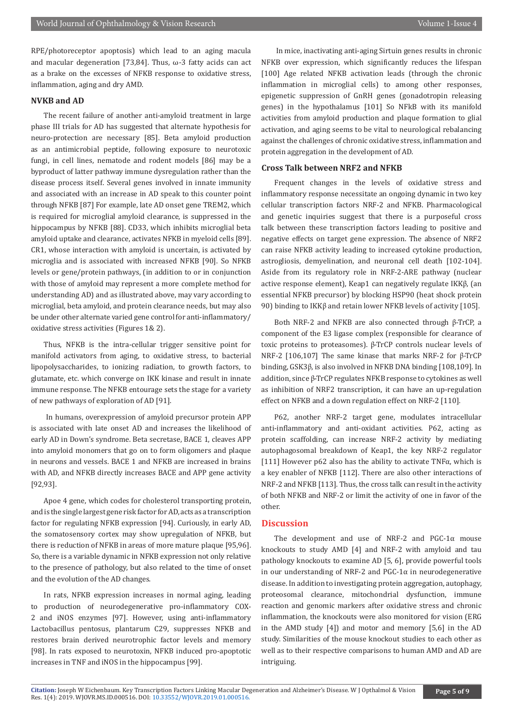RPE/photoreceptor apoptosis) which lead to an aging macula and macular degeneration [73,84]. Thus, ω-3 fatty acids can act as a brake on the excesses of NFKB response to oxidative stress, inflammation, aging and dry AMD.

# **NVKB and AD**

The recent failure of another anti-amyloid treatment in large phase III trials for AD has suggested that alternate hypothesis for neuro-protection are necessary [85]. Beta amyloid production as an antimicrobial peptide, following exposure to neurotoxic fungi, in cell lines, nematode and rodent models [86] may be a byproduct of latter pathway immune dysregulation rather than the disease process itself. Several genes involved in innate immunity and associated with an increase in AD speak to this counter point through NFKB [87] For example, late AD onset gene TREM2, which is required for microglial amyloid clearance, is suppressed in the hippocampus by NFKB [88]. CD33, which inhibits microglial beta amyloid uptake and clearance, activates NFKB in myeloid cells [89]. CR1, whose interaction with amyloid is uncertain, is activated by microglia and is associated with increased NFKB [90]. So NFKB levels or gene/protein pathways, (in addition to or in conjunction with those of amyloid may represent a more complete method for understanding AD) and as illustrated above, may vary according to microglial, beta amyloid, and protein clearance needs, but may also be under other alternate varied gene control for anti-inflammatory/ oxidative stress activities (Figures 1& 2).

Thus, NFKB is the intra-cellular trigger sensitive point for manifold activators from aging, to oxidative stress, to bacterial lipopolysaccharides, to ionizing radiation, to growth factors, to glutamate, etc. which converge on IKK kinase and result in innate immune response. The NFKB entourage sets the stage for a variety of new pathways of exploration of AD [91].

 In humans, overexpression of amyloid precursor protein APP is associated with late onset AD and increases the likelihood of early AD in Down's syndrome. Beta secretase, BACE 1, cleaves APP into amyloid monomers that go on to form oligomers and plaque in neurons and vessels. BACE 1 and NFKB are increased in brains with AD, and NFKB directly increases BACE and APP gene activity [92,93].

Apoe 4 gene, which codes for cholesterol transporting protein, and is the single largest gene risk factor for AD, acts as a transcription factor for regulating NFKB expression [94]. Curiously, in early AD, the somatosensory cortex may show upregulation of NFKB, but there is reduction of NFKB in areas of more mature plaque [95,96]. So, there is a variable dynamic in NFKB expression not only relative to the presence of pathology, but also related to the time of onset and the evolution of the AD changes.

In rats, NFKB expression increases in normal aging, leading to production of neurodegenerative pro-inflammatory COX-2 and iNOS enzymes [97]. However, using anti-inflammatory Lactobacillus pentosus, plantarum C29, suppresses NFKB and restores brain derived neurotrophic factor levels and memory [98]. In rats exposed to neurotoxin, NFKB induced pro-apoptotic increases in TNF and iNOS in the hippocampus [99].

 In mice, inactivating anti-aging Sirtuin genes results in chronic NFKB over expression, which significantly reduces the lifespan [100] Age related NFKB activation leads (through the chronic inflammation in microglial cells) to among other responses, epigenetic suppression of GnRH genes (gonadotropin releasing genes) in the hypothalamus [101] So NFkB with its manifold activities from amyloid production and plaque formation to glial activation, and aging seems to be vital to neurological rebalancing against the challenges of chronic oxidative stress, inflammation and protein aggregation in the development of AD.

# **Cross Talk between NRF2 and NFKB**

Frequent changes in the levels of oxidative stress and inflammatory response necessitate an ongoing dynamic in two key cellular transcription factors NRF-2 and NFKB. Pharmacological and genetic inquiries suggest that there is a purposeful cross talk between these transcription factors leading to positive and negative effects on target gene expression. The absence of NRF2 can raise NFKB activity leading to increased cytokine production, astrogliosis, demyelination, and neuronal cell death [102-104]. Aside from its regulatory role in NRF-2-ARE pathway (nuclear active response element), Keap1 can negatively regulate IKKβ, (an essential NFKB precursor) by blocking HSP90 (heat shock protein 90) binding to IKKβ and retain lower NFKB levels of activity [105].

Both NRF-2 and NFKB are also connected through β-TrCP, a component of the E3 ligase complex (responsible for clearance of toxic proteins to proteasomes). β-TrCP controls nuclear levels of NRF-2 [106,107] The same kinase that marks NRF-2 for β-TrCP binding, GSK3β, is also involved in NFKB DNA binding [108,109]. In addition, since β-TrCP regulates NFKB response to cytokines as well as inhibition of NRF2 transcription, it can have an up-regulation effect on NFKB and a down regulation effect on NRF-2 [110].

P62, another NRF-2 target gene, modulates intracellular anti-inflammatory and anti-oxidant activities. P62, acting as protein scaffolding, can increase NRF-2 activity by mediating autophagosomal breakdown of Keap1, the key NRF-2 regulator [111] However p62 also has the ability to activate TNF $\alpha$ , which is a key enabler of NFKB [112]. There are also other interactions of NRF-2 and NFKB [113]. Thus, the cross talk can result in the activity of both NFKB and NRF-2 or limit the activity of one in favor of the other.

# **Discussion**

The development and use of NRF-2 and PGC-1α mouse knockouts to study AMD [4] and NRF-2 with amyloid and tau pathology knockouts to examine AD [5, 6], provide powerful tools in our understanding of NRF-2 and  $PGC-1\alpha$  in neurodegenerative disease. In addition to investigating protein aggregation, autophagy, proteosomal clearance, mitochondrial dysfunction, immune reaction and genomic markers after oxidative stress and chronic inflammation, the knockouts were also monitored for vision (ERG in the AMD study [4]) and motor and memory [5,6] in the AD study. Similarities of the mouse knockout studies to each other as well as to their respective comparisons to human AMD and AD are intriguing.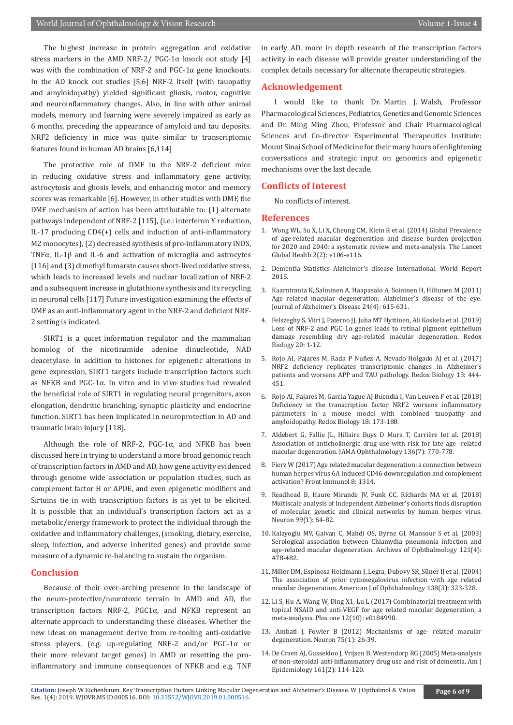The highest increase in protein aggregation and oxidative stress markers in the AMD NRF-2/ PGC-1 $\alpha$  knock out study [4] was with the combination of NRF-2 and PGC-1α gene knockouts. In the AD knock out studies [5,6] NRF-2 itself (with tauopathy and amyloidopathy) yielded significant gliosis, motor, cognitive and neuroinflammatory changes. Also, in line with other animal models, memory and learning were severely impaired as early as 6 months, preceding the appearance of amyloid and tau deposits. NRF2 deficiency in mice was quite similar to transcriptomic features found in human AD brains [6,114]

The protective role of DMF in the NRF-2 deficient mice in reducing oxidative stress and inflammatory gene activity, astrocytosis and gliosis levels, and enhancing motor and memory scores was remarkable [6]. However, in other studies with DMF, the DMF mechanism of action has been attributable to: (1) alternate pathways independent of NRF-2 [115], (i.e.: interferon ϒ reduction, IL-17 producing CD4(+) cells and induction of anti-inflammatory M2 monocytes), (2) decreased synthesis of pro-inflammatory iNOS, TNFα, IL-1β and IL-6 and activation of microglia and astrocytes [116] and (3) dimethyl fumarate causes short-lived oxidative stress, which leads to increased levels and nuclear localization of NRF-2 and a subsequent increase in glutathione synthesis and its recycling in neuronal cells [117] Future investigation examining the effects of DMF as an anti-inflammatory agent in the NRF-2 and deficient NRF-2 setting is indicated.

SIRT1 is a quiet information regulator and the mammalian homolog of the nicotinamide adenine dinucleotide, NAD deacetylase. In addition to histones for epigenetic alterations in gene expression, SIRT1 targets include transcription factors such as NFKB and PGC-1α. In vitro and in vivo studies had revealed the beneficial role of SIRT1 in regulating neural progenitors, axon elongation, dendritic branching, synaptic plasticity and endocrine function. SIRT1 has been implicated in neuroprotection in AD and traumatic brain injury [118].

Although the role of NRF-2, PGC-1 $\alpha$ , and NFKB has been discussed here in trying to understand a more broad genomic reach of transcription factors in AMD and AD, how gene activity evidenced through genome wide association or population studies, such as complement factor H or APOE, and even epigenetic modifiers and Sirtuins tie in with transcription factors is as yet to be elicited. It is possible that an individual's transcription factors act as a metabolic/energy framework to protect the individual through the oxidative and inflammatory challenges, (smoking, dietary, exercise, sleep, infection, and adverse inherited genes) and provide some measure of a dynamic re-balancing to sustain the organism.

### **Conclusion**

Because of their over-arching presence in the landscape of the neuro-protective/neurotoxic terrain in AMD and AD, the transcription factors NRF-2, PGC1α, and NFKB represent an alternate approach to understanding these diseases. Whether the new ideas on management derive from re-tooling anti-oxidative stress players, (e.g. up-regulating NRF-2 and/or PGC-1α or their more relevant target genes) in AMD or resetting the proinflammatory and immune consequences of NFKB and e.g. TNF

in early AD, more in depth research of the transcription factors activity in each disease will provide greater understanding of the complex details necessary for alternate therapeutic strategies.

#### **Acknowledgement**

I would like to thank Dr. Martin J. Walsh, Professor Pharmacological Sciences, Pediatrics, Genetics and Genomic Sciences and Dr. Ming Ming Zhou, Professor and Chair Pharmacological Sciences and Co-director Experimental Therapeutics Institute: Mount Sinai School of Medicine for their many hours of enlightening conversations and strategic input on genomics and epigenetic mechanisms over the last decade.

# **Conflicts of Interest**

No conflicts of interest.

#### **References**

- 1. [Wong WL, Su X, Li X, Cheung CM, Klein R et al. \(2014\) Global Prevalence](https://www.ncbi.nlm.nih.gov/pubmed/25104651) [of age-related macular degeneration and disease burden projection](https://www.ncbi.nlm.nih.gov/pubmed/25104651) [for 2020 and 2040: a systematic review and meta-analysis. The Lancet](https://www.ncbi.nlm.nih.gov/pubmed/25104651) [Global Health 2\(2\): e106-e116.](https://www.ncbi.nlm.nih.gov/pubmed/25104651)
- 2. [Dementia Statistics Alzheimer's disease International. World Report](https://www.alz.co.uk/research/statistics) [2015.](https://www.alz.co.uk/research/statistics)
- 3. [Kaarniranta K, Salminen A, Haapasalo A, Soininen H, Hiltunen M \(2011\)](https://www.ncbi.nlm.nih.gov/pubmed/21297256) [Age related macular degeneration: Alzheimer's disease of the eye.](https://www.ncbi.nlm.nih.gov/pubmed/21297256) [Journal of Alzheimer's Disease 24\(4\): 615-631.](https://www.ncbi.nlm.nih.gov/pubmed/21297256)
- 4. [Felszeghy S, Viiri J, Paterno JJ, Juha MT Hyttinen, Ali Koskela et al. \(2019\)](https://www.ncbi.nlm.nih.gov/pmc/articles/PMC6156745/) Loss of NRF-2 and PGC-1 $\alpha$  genes leads to retinal pigment epithelium [damage resembling dry age-related macular degeneration. Redox](https://www.ncbi.nlm.nih.gov/pmc/articles/PMC6156745/) [Biology 20: 1-12.](https://www.ncbi.nlm.nih.gov/pmc/articles/PMC6156745/)
- 5. [Rojo AI, Pajares M, Rada P Nuñez A, Nevado Holgado AJ et al. \(2017\)](https://www.ncbi.nlm.nih.gov/pubmed/28704727) [NRF2 deficiency replicates transcriptomic changes in Alzheimer's](https://www.ncbi.nlm.nih.gov/pubmed/28704727) [patients and worsens APP and TAU pathology. Redox Biology 13: 444-](https://www.ncbi.nlm.nih.gov/pubmed/28704727) [451.](https://www.ncbi.nlm.nih.gov/pubmed/28704727)
- 6. [Rojo AI, Pajares M, Garcia Yague AJ Buendia I, Van Leuven F et al. \(2018\)](https://www.ncbi.nlm.nih.gov/pubmed/30029164) [Deficiency in the transcription factor NRF2 worsens inflammatory](https://www.ncbi.nlm.nih.gov/pubmed/30029164) [parameters in a mouse model with combined tauopathy and](https://www.ncbi.nlm.nih.gov/pubmed/30029164) [amyloidopathy. Redox Biology 18: 173-180.](https://www.ncbi.nlm.nih.gov/pubmed/30029164)
- 7. [Aldebert G, Fallie JL, Hillaire Buys D Mura T, Carrière Iet al. \(2018\)](https://www.ncbi.nlm.nih.gov/pubmed/29800005) [Association of anticholinergic drug use with risk for late age -related](https://www.ncbi.nlm.nih.gov/pubmed/29800005) [macular degeneration. JAMA Ophthalmology 136\(7\): 770-778.](https://www.ncbi.nlm.nih.gov/pubmed/29800005)
- 8. [Fierz W \(2017\) Age related macular degeneration: a connection between](https://www.ncbi.nlm.nih.gov/pubmed/29093709) [human herpes virus 6A induced CD46 downregulation and complement](https://www.ncbi.nlm.nih.gov/pubmed/29093709) [activation? Front Immunol 8: 1314.](https://www.ncbi.nlm.nih.gov/pubmed/29093709)
- 9. [Readhead B, Haure Mirande JV, Funk CC, Richards MA et al. \(2018\)](https://www.ncbi.nlm.nih.gov/pubmed/29937276) [Multiscale analysis of Independent Alzheimer's cohorts finds disruption](https://www.ncbi.nlm.nih.gov/pubmed/29937276) [of molecular, genetic and clinical networks by human herpes virus.](https://www.ncbi.nlm.nih.gov/pubmed/29937276) [Neuron 99\(1\): 64-82.](https://www.ncbi.nlm.nih.gov/pubmed/29937276)
- 10. [Kalayoglu MV, Galvan C, Mahdi OS, Byrne GI, Mansour S et al. \(2003\)](https://www.ncbi.nlm.nih.gov/pubmed/12695244) [Serological association between Chlamydia pneumonia infection and](https://www.ncbi.nlm.nih.gov/pubmed/12695244) [age-related macular degeneration. Archives of Ophthalmology 121\(4\):](https://www.ncbi.nlm.nih.gov/pubmed/12695244) [478-482.](https://www.ncbi.nlm.nih.gov/pubmed/12695244)
- 11. [Miller DM, Espinosa Heidmann J, Legra, Dubovy SR, Sũner IJ et al. \(2004\)](https://www.ncbi.nlm.nih.gov/pubmed/15364212) [The association of prior cytomegalovirus infection with age related](https://www.ncbi.nlm.nih.gov/pubmed/15364212) [macular degeneration. American J of Ophthalmology 138\(3\): 323-328.](https://www.ncbi.nlm.nih.gov/pubmed/15364212)
- 12. [Li S, Hu A, Wang W, Ding X1, Lu L \(2017\) Combinatorial treatment with](https://www.ncbi.nlm.nih.gov/pubmed/28985220) [topical NSAID and anti-VEGF for age related macular degeneration, a](https://www.ncbi.nlm.nih.gov/pubmed/28985220) [meta-analysis. Plos one 12\(10\): e0184998.](https://www.ncbi.nlm.nih.gov/pubmed/28985220)
- 13. [Ambati J, Fowler B \(2012\) Mechanisms of age- related macular](https://www.ncbi.nlm.nih.gov/pubmed/22794258) [degeneration. Neuron 75\(1\): 26-39.](https://www.ncbi.nlm.nih.gov/pubmed/22794258)
- 14. [De Craen AJ, Gussekloo J, Vrijsen B, Westendorp RG \(2005\) Meta-analysis](https://www.ncbi.nlm.nih.gov/pubmed/15632261) [of non-steroidal anti-inflammatory drug use and risk of dementia. Am J](https://www.ncbi.nlm.nih.gov/pubmed/15632261) [Epidemiology 161\(2\): 114-120.](https://www.ncbi.nlm.nih.gov/pubmed/15632261)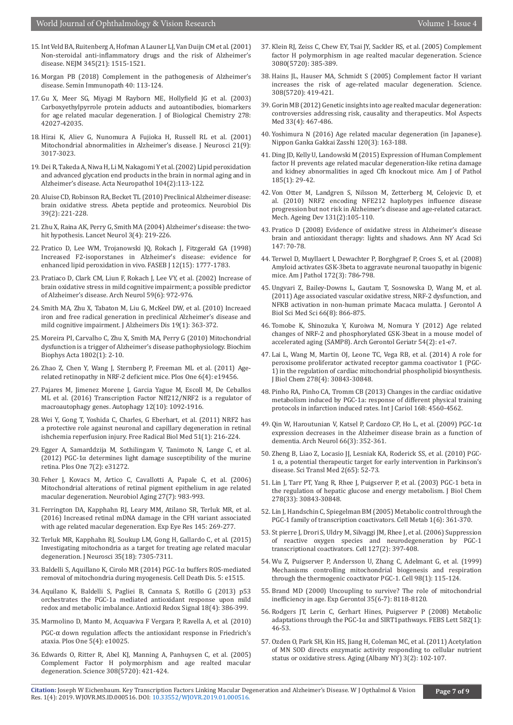- 15. [Int Veld BA, Ruitenberg A, Hofman A Launer LJ, Van Duijn CM et al. \(2001\)](https://www.ncbi.nlm.nih.gov/pubmed/11794217)  [Non-steroidal anti-inflammatory drugs and the risk of Alzheimer's](https://www.ncbi.nlm.nih.gov/pubmed/11794217)  [disease. NEJM 345\(21\): 1515-1521.](https://www.ncbi.nlm.nih.gov/pubmed/11794217)
- 16. [Morgan PB \(2018\) Complement in the pathogenesis of Alzheimer's](https://www.ncbi.nlm.nih.gov/pubmed/29134267)  [disease. Semin Immunopath 40: 113-124.](https://www.ncbi.nlm.nih.gov/pubmed/29134267)
- 17. [Gu X, Meer SG, Miyagi M Rayborn ME, Hollyfield JG et al. \(2003\)](https://www.ncbi.nlm.nih.gov/pubmed/12923198)  [Carboxyethylpyrrole protein adducts and autoantibodies, biomarkers](https://www.ncbi.nlm.nih.gov/pubmed/12923198)  [for age related macular degeneration. J of Biological Chemistry 278:](https://www.ncbi.nlm.nih.gov/pubmed/12923198)  [42027-42035.](https://www.ncbi.nlm.nih.gov/pubmed/12923198)
- 18. [Hirai K, Aliev G, Nunomura A Fujioka H, Russell RL et al. \(2001\)](https://www.ncbi.nlm.nih.gov/pubmed/11312286)  [Mitochondrial abnormalities in Alzheimer's disease. J Neurosci 21\(9\):](https://www.ncbi.nlm.nih.gov/pubmed/11312286)  [3017-3023.](https://www.ncbi.nlm.nih.gov/pubmed/11312286)
- 19. [Dei R, Takeda A, Niwa H, Li M, Nakagomi Y et al. \(2002\) Lipid peroxidation](https://www.ncbi.nlm.nih.gov/pubmed/12111353)  [and advanced glycation end products in the brain in normal aging and in](https://www.ncbi.nlm.nih.gov/pubmed/12111353)  [Alzheimer's disease. Acta Neuropathol 104\(2\):113-122.](https://www.ncbi.nlm.nih.gov/pubmed/12111353)
- 20. [Aluise CD, Robinson RA, Becket TL \(2010\) Preclinical Alzheimer disease:](https://www.ncbi.nlm.nih.gov/pubmed/20399861)  [brain oxidative stress. Abeta peptide and proteomics. Neurobiol Dis](https://www.ncbi.nlm.nih.gov/pubmed/20399861)  [39\(2\): 221-228.](https://www.ncbi.nlm.nih.gov/pubmed/20399861)
- 21. [Zhu X, Raina AK, Perry G, Smith MA \(2004\) Alzheimer's disease: the two](https://www.ncbi.nlm.nih.gov/pubmed/15039034)[hit hypothesis. Lancet Neurol 3\(4\): 219-226.](https://www.ncbi.nlm.nih.gov/pubmed/15039034)
- 22. [Pratico D, Lee WM, Trojanowski JQ, Rokach J, Fitzgerald GA \(1998\)](https://www.ncbi.nlm.nih.gov/pubmed/9837868)  [Increased F2-isoporstanes in Alzheimer's disease: evidence for](https://www.ncbi.nlm.nih.gov/pubmed/9837868)  [enhanced lipid peroxidation in vivo. FASEB J 12\(15\): 1777-1783.](https://www.ncbi.nlm.nih.gov/pubmed/9837868)
- 23. [Pratiaco D, Clark CM, Liun F, Rokach J, Lee VY, et al. \(2002\) Increase of](https://www.ncbi.nlm.nih.gov/pubmed/12056933)  [brain oxidative stress in mild cognitive impairment; a possible predictor](https://www.ncbi.nlm.nih.gov/pubmed/12056933)  [of Alzheimer's disease. Arch Neurol 59\(6\): 972-976.](https://www.ncbi.nlm.nih.gov/pubmed/12056933)
- 24. [Smith MA, Zhu X, Tabaton M, Liu G, McKeel DW, et al. \(2010\) Increaed](https://www.ncbi.nlm.nih.gov/pubmed/20061651)  [iron and free radical generation in preclinical Alzheimer's disease and](https://www.ncbi.nlm.nih.gov/pubmed/20061651)  [mild cognitive impairment. J Alzheimers Dis 19\(1\): 363-372.](https://www.ncbi.nlm.nih.gov/pubmed/20061651)
- 25. [Moreira PI, Carvalho C, Zhu X, Smith MA, Perry G \(2010\) Mitochondrial](https://www.ncbi.nlm.nih.gov/pubmed/19853658)  [dysfunction is a trigger of Alzheimer's disease pathophysiology. Biochim](https://www.ncbi.nlm.nih.gov/pubmed/19853658)  [Biophys Acta 1802\(1\): 2-10.](https://www.ncbi.nlm.nih.gov/pubmed/19853658)
- 26. [Zhao Z, Chen Y, Wang J, Sternberg P, Freeman ML et al. \(2011\) Age](https://www.ncbi.nlm.nih.gov/pubmed/21559389)[related retinopathy in NRF-2 deficient mice. Plos One 6\(4\): e19456.](https://www.ncbi.nlm.nih.gov/pubmed/21559389)
- 27. [Pajares M, Jimenez Morene J, Garcia Yague M, Escoll M, De Ceballos](https://www.ncbi.nlm.nih.gov/pubmed/27427974)  [ML et al. \(2016\) Transcription Factor Nff212/NRF2 is a regulator of](https://www.ncbi.nlm.nih.gov/pubmed/27427974)  [macroautophagy genes. Autophagy 12\(10\): 1092-1916.](https://www.ncbi.nlm.nih.gov/pubmed/27427974)
- 28. [Wei Y, Gong T, Yoshida C, Charles, G Eberhart, et al. \(2011\) NRF2 has](https://www.ncbi.nlm.nih.gov/pmc/articles/PMC3997112/)  [a protective role against neuronal and capillary degeneration in retinal](https://www.ncbi.nlm.nih.gov/pmc/articles/PMC3997112/)  [ishchemia reperfusion injury. Free Radical Biol Med 51\(1\): 216-224.](https://www.ncbi.nlm.nih.gov/pmc/articles/PMC3997112/)
- 29. [Egger A, Samarddzija M, Sothilingam V, Tanimoto N, Lange C, et al.](https://www.ncbi.nlm.nih.gov/pubmed/22348062)  (2012) PGC-1 $\alpha$  determines light damage susceptibility of the murine [retina. Plos One 7\(2\): e31272.](https://www.ncbi.nlm.nih.gov/pubmed/22348062)
- 30. [Feher J, Kovacs M, Artico C, Cavallotti A, Papale C, et al. \(2006\)](https://www.ncbi.nlm.nih.gov/pubmed/15979212)  [Mitochondrial alterations of retinal pigment epithelium in age related](https://www.ncbi.nlm.nih.gov/pubmed/15979212)  [macular degeneration. Neurobiol Aging 27\(7\): 983-993.](https://www.ncbi.nlm.nih.gov/pubmed/15979212)
- 31. [Ferrington DA, Kapphahn RJ, Leary MM, Atilano SR, Terluk MR, et al.](https://www.ncbi.nlm.nih.gov/pubmed/26854823)  [\(2016\) Increased retinal mDNA damage in the CFH variant associated](https://www.ncbi.nlm.nih.gov/pubmed/26854823)  [with age related macular degeneration. Exp Eye Res 145: 269-277.](https://www.ncbi.nlm.nih.gov/pubmed/26854823)
- 32. [Terluk MR, Kapphahn RJ, Soukup LM, Gong H, Gallardo C, et al. \(2015\)](https://www.ncbi.nlm.nih.gov/pubmed/25948278)  [Investigating mitochondria as a target for treating age related macular](https://www.ncbi.nlm.nih.gov/pubmed/25948278)  [degeneration. J Neurosci 35\(18\): 7305-7311.](https://www.ncbi.nlm.nih.gov/pubmed/25948278)
- 33. [Baldelli S, Aquillano K, Cirolo MR \(2014\) PGC-1α buffers ROS-mediated](https://www.ncbi.nlm.nih.gov/pubmed/25375380)  [removal of mitochondria during myogenesis. Cell Death Dis. 5: e1515.](https://www.ncbi.nlm.nih.gov/pubmed/25375380)
- 34. [Aquilano K, Baldelli S, Pagliei B, Cannata S, Rotillo G \(2013\) p53](https://www.ncbi.nlm.nih.gov/pmc/articles/PMC3526895/)  [orchestrates the PGC-1a mediated antioxidant response upon mild](https://www.ncbi.nlm.nih.gov/pmc/articles/PMC3526895/)  [redox and metabolic imbalance. Antioxid Redox Signal 18\(4\): 386-399.](https://www.ncbi.nlm.nih.gov/pmc/articles/PMC3526895/)
- 35. [Marmolino D, Manto M, Acquaviva F Vergara P, Ravella A, et al. \(2010\)](https://www.ncbi.nlm.nih.gov/pubmed/20383327)  PGC-[α down regulation affects the antioxidant response in Friedrich's](https://www.ncbi.nlm.nih.gov/pubmed/20383327)  [ataxia. Plos One 5\(4\): e10025.](https://www.ncbi.nlm.nih.gov/pubmed/20383327)
- 36. [Edwards O, Ritter R, Abel KJ, Manning A, Panhuysen C, et al. \(2005\)](https://www.ncbi.nlm.nih.gov/pubmed/15761121)  [Complement Factor H polymorphism and age realted macular](https://www.ncbi.nlm.nih.gov/pubmed/15761121)  [degeneration. Science 308\(5720\): 421-424.](https://www.ncbi.nlm.nih.gov/pubmed/15761121)
- 37. [Klein RJ, Zeiss C, Chew EY, Tsai JY, Sackler RS, et al. \(2005\) Complement](https://www.ncbi.nlm.nih.gov/pubmed/15761122) [factor H polymorphism in age realted macular degeneration. Science](https://www.ncbi.nlm.nih.gov/pubmed/15761122) [3080\(5720\): 385-389.](https://www.ncbi.nlm.nih.gov/pubmed/15761122)
- 38. [Hains JL, Hauser MA, Schmidt S \(2005\) Complement factor H variant](https://www.ncbi.nlm.nih.gov/pubmed/15761120) [increases the risk of age-related macular degeneration. Science.](https://www.ncbi.nlm.nih.gov/pubmed/15761120) [308\(5720\): 419-421.](https://www.ncbi.nlm.nih.gov/pubmed/15761120)
- 39. [Gorin MB \(2012\) Genetic insights into age realted macular degeneration:](https://www.ncbi.nlm.nih.gov/pubmed/22561651) [controversies addressing risk, causality and therapeutics. Mol Aspects](https://www.ncbi.nlm.nih.gov/pubmed/22561651) [Med 33\(4\): 467-486.](https://www.ncbi.nlm.nih.gov/pubmed/22561651)
- 40. [Yoshimura N \(2016\) Age related macular degeneration \(in Japanese\).](https://www.ncbi.nlm.nih.gov/pubmed/27164756) [Nippon Ganka Gakkai Zasshi 120\(3\): 163-188.](https://www.ncbi.nlm.nih.gov/pubmed/27164756)
- 41. [Ding JD, Kelly U, Landowski M \(2015\) Expression of Human Complement](https://www.ncbi.nlm.nih.gov/pmc/articles/PMC4278241/) [factor H prevents age related macular degeneration-like retina damage](https://www.ncbi.nlm.nih.gov/pmc/articles/PMC4278241/) [and kidney abnormalities in aged Cfh knockout mice. Am J of Pathol](https://www.ncbi.nlm.nih.gov/pmc/articles/PMC4278241/) [185\(1\): 29-42.](https://www.ncbi.nlm.nih.gov/pmc/articles/PMC4278241/)
- 42. [Von Otter M, Landgren S, Nilsson M, Zetterberg M, Celojevic D, et](https://www.ncbi.nlm.nih.gov/pubmed/20064547) [al. \(2010\) NRF2 encoding NFE212 haplotypes influence disease](https://www.ncbi.nlm.nih.gov/pubmed/20064547) [progression but not risk in Alzheimer's disease and age-related cataract.](https://www.ncbi.nlm.nih.gov/pubmed/20064547) [Mech. Ageing Dev 131\(2\):105-110.](https://www.ncbi.nlm.nih.gov/pubmed/20064547)
- 43. [Pratico D \(2008\) Evidence of oxidative stress in Alzheimer's disease](https://www.ncbi.nlm.nih.gov/pubmed/19076432) [brain and antioxidant therapy: lights and shadows. Ann NY Acad Sci](https://www.ncbi.nlm.nih.gov/pubmed/19076432) [147: 70-78.](https://www.ncbi.nlm.nih.gov/pubmed/19076432)
- 44. [Terwel D, Muyllaert I, Dewachter P, Borghgraef P, Croes S, et al. \(2008\)](https://www.ncbi.nlm.nih.gov/pubmed/18258852) [Amyloid activates GSK-3beta to aggravate neuronal tauopathy in bigenic](https://www.ncbi.nlm.nih.gov/pubmed/18258852) [mice. Am J Pathol 172\(3\): 786-798.](https://www.ncbi.nlm.nih.gov/pubmed/18258852)
- 45. [Ungvari Z, Bailey-Downs L, Gautam T, Sosnowska D, Wang M, et al.](https://www.ncbi.nlm.nih.gov/pubmed/21622983) [\(2011\) Age associated vascular oxidative stress, NRF-2 dysfunction, and](https://www.ncbi.nlm.nih.gov/pubmed/21622983) [NFKB activation in non-human primate Macaca mulatta. J Gerontol A](https://www.ncbi.nlm.nih.gov/pubmed/21622983) [Biol Sci Med Sci 66\(8\): 866-875.](https://www.ncbi.nlm.nih.gov/pubmed/21622983)
- 46. [Tomobe K, Shinozuka Y, Kuroiwa M, Nomura Y \(2012\) Age related](https://www.ncbi.nlm.nih.gov/pubmed/21784539) [changes of NRF-2 and phosphorylated GSK-3beat in a mouse model of](https://www.ncbi.nlm.nih.gov/pubmed/21784539) [accelerated aging \(SAMP8\). Arch Gerontol Geriatr 54\(2\): e1-e7.](https://www.ncbi.nlm.nih.gov/pubmed/21784539)
- 47. [Lai L, Wang M, Martin OJ, Leone TC, Vega RB, et al. \(2014\) A role for](https://www.ncbi.nlm.nih.gov/pubmed/24337569) [peroxisome proliferator activated receptor gamma coactivator 1 \(PGC-](https://www.ncbi.nlm.nih.gov/pubmed/24337569)[1\) in the regulation of cardiac mitochondrial phospholipid biosynthesis.](https://www.ncbi.nlm.nih.gov/pubmed/24337569) [J Biol Chem 278\(4\): 30843-30848.](https://www.ncbi.nlm.nih.gov/pubmed/24337569)
- 48. Pinho RA, Pinho CA, Tromm CB (2013) Changes in the cardiac oxidative metabolism induced by PGC-1a: response of different physical training protocols in infarction induced rates. Int J Cariol 168: 4560-4562.
- 49. [Qin W, Haroutunian V, Katsel P, Cardozo CP, Ho L, et al. \(2009\) PGC-1α](https://www.ncbi.nlm.nih.gov/pubmed/19273754) [expression decreases in the Alzheimer disease brain as a function of](https://www.ncbi.nlm.nih.gov/pubmed/19273754) [dementia. Arch Neurol 66\(3\): 352-361.](https://www.ncbi.nlm.nih.gov/pubmed/19273754)
- 50. [Zheng B, Liao Z, Locasio JJ, Lesniak KA, Roderick SS, et al. \(2010\) PGC-](https://www.ncbi.nlm.nih.gov/pubmed/20926834)1 [α, a potential therapeutic target for early intervention in Parkinson's](https://www.ncbi.nlm.nih.gov/pubmed/20926834) [disease. Sci Transl Med 2\(65\): 52-73.](https://www.ncbi.nlm.nih.gov/pubmed/20926834)
- 51. [Lin J, Tarr PT, Yang R, Rhee J, Puigserver P, et al. \(2003\) PGC-1 beta in](https://www.ncbi.nlm.nih.gov/pubmed/12807885) [the regulation of hepatic glucose and energy metabolism. J Biol Chem](https://www.ncbi.nlm.nih.gov/pubmed/12807885) [278\(33\): 30843-30848.](https://www.ncbi.nlm.nih.gov/pubmed/12807885)
- 52. [Lin J, Handschin C, Spiegelman BM \(2005\) Metabolic control through the](https://www.ncbi.nlm.nih.gov/pubmed/16054085) [PGC-1 family of transcription coactivators. Cell Metab 1\(6\): 361-370.](https://www.ncbi.nlm.nih.gov/pubmed/16054085)
- 53. [St pierre J, Drori S, Uldry M, Silvaggi JM, Rhee J, et al. \(2006\) Suppression](https://www.ncbi.nlm.nih.gov/pubmed/17055439) [of reactive oxygen species and neurodegeneration by PGC-1](https://www.ncbi.nlm.nih.gov/pubmed/17055439) [transcriptional coactivators. Cell 127\(2\): 397-408.](https://www.ncbi.nlm.nih.gov/pubmed/17055439)
- 54. [Wu Z, Puigserver P, Andersson U, Zhang C, Adelmant G, et al. \(1999\)](https://www.ncbi.nlm.nih.gov/pubmed/10412986) [Mechanisms controlling mitochondrial biogenesis and respiration](https://www.ncbi.nlm.nih.gov/pubmed/10412986) [through the thermogenic coactivator PGC-1. Cell 98\(1\): 115-124.](https://www.ncbi.nlm.nih.gov/pubmed/10412986)
- 55. [Brand MD \(2000\) Uncoupling to survive? The role of mitochondrial](https://www.ncbi.nlm.nih.gov/pubmed/11053672) [inefficiency in age. Exp Gerontol 35\(6-7\): 8118-8120.](https://www.ncbi.nlm.nih.gov/pubmed/11053672)
- 56. [Rodgers JT, Lerin C, Gerhart Hines, Puigserver P \(2008\) Metabolic](https://www.ncbi.nlm.nih.gov/pubmed/18036349) adaptations through the PGC-1 $\alpha$  and SIRT1pathways. FEBS Lett 582(1): [46-53.](https://www.ncbi.nlm.nih.gov/pubmed/18036349)
- 57. [Ozden O, Park SH, Kin HS, Jiang H, Coleman MC, et al. \(2011\) Acetylation](https://www.ncbi.nlm.nih.gov/pubmed/21386137) [of MN SOD directs enzymatic activity responding to cellular nutrient](https://www.ncbi.nlm.nih.gov/pubmed/21386137) [status or oxidative stress. Aging \(Albany NY\) 3\(2\): 102-107.](https://www.ncbi.nlm.nih.gov/pubmed/21386137)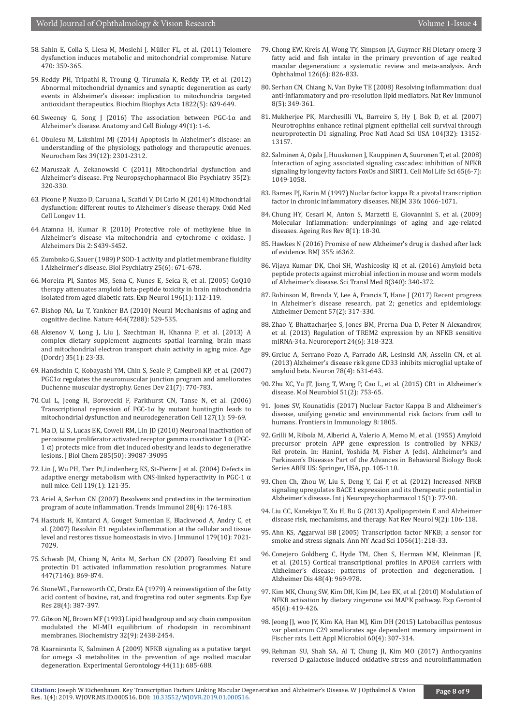- 58. [Sahin E, Colla S, Liesa M, Moslehi J, Müller FL, et al. \(2011\) Telomere](https://www.ncbi.nlm.nih.gov/pubmed/21307849)  [dysfunction induces metabolic and mitochondrial compromise. Nature](https://www.ncbi.nlm.nih.gov/pubmed/21307849)  [470: 359-365.](https://www.ncbi.nlm.nih.gov/pubmed/21307849)
- 59. [Reddy PH, Tripathi R, Troung Q, Tirumala K, Reddy TP, et al. \(2012\)](https://www.ncbi.nlm.nih.gov/pubmed/22037588)  [Abnormal mitochondrial dynamics and synaptic degeneration as early](https://www.ncbi.nlm.nih.gov/pubmed/22037588)  [events in Alzheimer's disease: implication to mitochondria targeted](https://www.ncbi.nlm.nih.gov/pubmed/22037588)  [antioxidant therapeutics. Biochim Biophys Acta 1822\(5\): 639-649.](https://www.ncbi.nlm.nih.gov/pubmed/22037588)
- 60. [Sweeney G, Song J \(2016\) The association between PGC-1α and](https://www.ncbi.nlm.nih.gov/pubmed/27051562)  [Alzheimer's disease. Anatomy and Cell Biology 49\(1\): 1-6.](https://www.ncbi.nlm.nih.gov/pubmed/27051562)
- 61. [Obulesu M, Lakshimi MJ \(2014\) Apoptosis in Alzheimer's disease: an](https://www.ncbi.nlm.nih.gov/pubmed/25322820)  [understanding of the physiology, pathology and therapeutic avenues.](https://www.ncbi.nlm.nih.gov/pubmed/25322820)  [Neurochem Res 39\(12\): 2301-2312.](https://www.ncbi.nlm.nih.gov/pubmed/25322820)
- 62. [Maruszak A, Zekanowski C \(2011\) Mitochondrial dysfunction and](https://www.ncbi.nlm.nih.gov/pubmed/20624441)  [Alzheimer's disease. Prg Neuropsychopharmacol Bio Psychiatry 35\(2\):](https://www.ncbi.nlm.nih.gov/pubmed/20624441)  [320-330.](https://www.ncbi.nlm.nih.gov/pubmed/20624441)
- 63. [Picone P, Nuzzo D, Caruana L, Scafidi V, Di Carlo M \(2014\) Mitochondrial](https://www.hindawi.com/journals/omcl/2014/780179/)  [dysfunction: different routes to Alzheimer's disease therapy. Oxid Med](https://www.hindawi.com/journals/omcl/2014/780179/)  [Cell Longev 11.](https://www.hindawi.com/journals/omcl/2014/780179/)
- 64. [Atamna H, Kumar R \(2010\) Protective role of methylene blue in](https://www.ncbi.nlm.nih.gov/pubmed/20463399)  [Alzheimer's disease via mitochondria and cytochrome c oxidase. J](https://www.ncbi.nlm.nih.gov/pubmed/20463399)  [Alzheimers Dis 2: S439-S452.](https://www.ncbi.nlm.nih.gov/pubmed/20463399)
- 65. [Zumbnko G, Sauer \(1989\) P SOD-1 activity and platlet membrane fluidity](https://www.biologicalpsychiatryjournal.com/article/0006-3223(89)90236-9/abstract)  [I Alzheirmer's disease. Biol Psychiatry 25\(6\): 671-678.](https://www.biologicalpsychiatryjournal.com/article/0006-3223(89)90236-9/abstract)
- 66. [Moreira PI, Santos MS, Sena C, Nunes E, Seica R, et al. \(2005\) CoQ10](https://www.ncbi.nlm.nih.gov/pubmed/16126199)  [therapy attenuates amyloid beta-peptide toxicity in brain mitochondria](https://www.ncbi.nlm.nih.gov/pubmed/16126199)  [isolated from aged diabetic rats. Exp Neurol 196\(1\): 112-119.](https://www.ncbi.nlm.nih.gov/pubmed/16126199)
- 67. [Bishop NA, Lu T, Yankner BA \(2010\) Neural Mechanisms of aging and](https://www.ncbi.nlm.nih.gov/pubmed/20336135)  [cognitive decline. Nature 464\(7288\): 529-535.](https://www.ncbi.nlm.nih.gov/pubmed/20336135)
- 68. [Aksenov V, Long J, Liu J, Szechtman H, Khanna P, et al. \(2013\) A](https://www.ncbi.nlm.nih.gov/pubmed/22120182)  [complex dietary supplement augments spatial learning, brain mass](https://www.ncbi.nlm.nih.gov/pubmed/22120182)  [and mitochondrial electron transport chain activity in aging mice. Age](https://www.ncbi.nlm.nih.gov/pubmed/22120182)  [\(Dordr\) 35\(1\): 23-33.](https://www.ncbi.nlm.nih.gov/pubmed/22120182)
- 69. [Handschin C, Kobayashi YM, Chin S, Seale P, Campbell KP, et al. \(2007\)](https://www.ncbi.nlm.nih.gov/pubmed/17403779)  PGC1α [regulates the neuromuscular junction program and ameliorates](https://www.ncbi.nlm.nih.gov/pubmed/17403779)  [Duchenne muscular dystrophy. Genes Dev 21\(7\): 770-783.](https://www.ncbi.nlm.nih.gov/pubmed/17403779)
- 70. [Cui L, Jeong H, Borovecki F, Parkhurst CN, Tanse N, et al. \(2006\)](https://www.ncbi.nlm.nih.gov/pubmed/17018277)  Transcriptional repression of PGC-1 $\alpha$  by mutant huntingtin leads to [mitochondrial dysfunction and neurodegeneration Cell 127\(1\): 59-69.](https://www.ncbi.nlm.nih.gov/pubmed/17018277)
- 71. [Ma D, LI S, Lucas EK, Cowell RM, Lin JD \(2010\) Neuronal inactivation of](https://www.ncbi.nlm.nih.gov/pubmed/20947495)  [peroxisome proliferator activated receptor gamma coactivator 1](https://www.ncbi.nlm.nih.gov/pubmed/20947495) α (PGC- $1 \alpha$ ) protects mice from diet induced obesity and leads to degenerative [lesions. J Biol Chem 285\(50\): 39087-39095](https://www.ncbi.nlm.nih.gov/pubmed/20947495)
- 72. [Lin J, Wu PH, Tarr Pt,Lindenberg KS, St-Pierre J et al. \(2004\) Defects in](https://www.ncbi.nlm.nih.gov/pubmed/15454086)  [adaptive energy metabolism with CNS-linked hyperactivity in PGC-1](https://www.ncbi.nlm.nih.gov/pubmed/15454086)  $\alpha$ [null mice. Cell 119\(1\): 121-35.](https://www.ncbi.nlm.nih.gov/pubmed/15454086)
- 73. [Ariel A, Serhan CN \(2007\) Resolvens and protectins in the termination](https://www.ncbi.nlm.nih.gov/pubmed/17337246)  [program of acute inflammation. Trends Immunol 28\(4\): 176-183.](https://www.ncbi.nlm.nih.gov/pubmed/17337246)
- 74. [Hasturk H, Kantarci A, Gouget Sumenian E, Blackwood A, Andry C, et](https://www.ncbi.nlm.nih.gov/pubmed/17982093)  [al. \(2007\) Resolvin E1 regulates inflammation at the cellular and tissue](https://www.ncbi.nlm.nih.gov/pubmed/17982093)  [level and restores tissue homeostasis in vivo. J Immunol 179\(10\): 7021-](https://www.ncbi.nlm.nih.gov/pubmed/17982093) [7029.](https://www.ncbi.nlm.nih.gov/pubmed/17982093)
- 75. [Schwab JM, Chiang N, Arita M, Serhan CN \(2007\) Resolving E1 and](https://www.ncbi.nlm.nih.gov/pubmed/17568749)  [protectin D1 activated inflammation resolution programmes. Nature](https://www.ncbi.nlm.nih.gov/pubmed/17568749)  [447\(7146\): 869-874.](https://www.ncbi.nlm.nih.gov/pubmed/17568749)
- 76. [StoneWL, Farnsworth CC, Dratz EA \(1979\) A reinvestigation of the fatty](https://app.dimensions.ai/details/publication/pub.1013793679)  [acid content of bovine, rat, and frogretina rod outer segments. Exp Eye](https://app.dimensions.ai/details/publication/pub.1013793679)  [Res 28\(4\): 387-397.](https://app.dimensions.ai/details/publication/pub.1013793679)
- 77. [Gibson NJ, Brown MF \(1993\) Lipid headgroup and acy chain compositon](https://pubs.acs.org/doi/abs/10.1021/bi00060a040)  [modulated the MI-MII equilibrium of rhodopsin in recombinant](https://pubs.acs.org/doi/abs/10.1021/bi00060a040)  [membranes. Biochemistry 32\(9\): 2438-2454.](https://pubs.acs.org/doi/abs/10.1021/bi00060a040)
- 78. [Kaarniranta K, Salminen A \(2009\) NFKB signaling as a putative target](https://www.ncbi.nlm.nih.gov/pubmed/19751815)  [for omega -3 metabolites in the prevention of age realted macular](https://www.ncbi.nlm.nih.gov/pubmed/19751815)  [degeneration. Experimental Gerontology 44\(11\): 685-688.](https://www.ncbi.nlm.nih.gov/pubmed/19751815)
- 79. [Chong EW, Kreis AJ, Wong TY, Simpson JA, Guymer RH Dietary omerg-3](https://www.ncbi.nlm.nih.gov/pubmed/18541848) [fatty acid and fish intake in the primary prevention of age realted](https://www.ncbi.nlm.nih.gov/pubmed/18541848) [macular degeneration: a systematic review and meta-analysis. Arch](https://www.ncbi.nlm.nih.gov/pubmed/18541848) [Ophthalmol 126\(6\): 826-833.](https://www.ncbi.nlm.nih.gov/pubmed/18541848)
- 80. [Serhan CN, Chiang N, Van Dyke TE \(2008\) Resolving inflammation: dual](https://www.ncbi.nlm.nih.gov/pubmed/18437155) [anti-inflammatory and pro-resolution lipid mediators. Nat Rev Immunol](https://www.ncbi.nlm.nih.gov/pubmed/18437155) [8\(5\): 349-361.](https://www.ncbi.nlm.nih.gov/pubmed/18437155)
- 81. [Mukherjee PK, Marchesilli VL, Barreiro S, Hy J, Bok D, et al. \(2007\)](https://www.ncbi.nlm.nih.gov/pmc/articles/PMC1941803/) [Neurotrophins enhance retinal pigment epithelial cell survival through](https://www.ncbi.nlm.nih.gov/pmc/articles/PMC1941803/) [neuroprotectin D1 signaling. Proc Natl Acad Sci USA 104\(32\): 13152-](https://www.ncbi.nlm.nih.gov/pmc/articles/PMC1941803/) [13157.](https://www.ncbi.nlm.nih.gov/pmc/articles/PMC1941803/)
- 82. [Salminen A, Ojala J, Huuskonen J, Kauppinen A, Suuronen T, et al. \(2008\)](https://www.ncbi.nlm.nih.gov/pubmed/18193389) [Interaction of aging associated signaling cascades: inhibition of NFKB](https://www.ncbi.nlm.nih.gov/pubmed/18193389) [signaling by longevity factors FoxOs and SIRT1. Cell Mol Life Sci 65\(6-7\):](https://www.ncbi.nlm.nih.gov/pubmed/18193389) [1049-1058.](https://www.ncbi.nlm.nih.gov/pubmed/18193389)
- 83. [Barnes PJ, Karin M \(1997\) Nuclar factor kappa B: a pivotal transcription](https://www.ncbi.nlm.nih.gov/pubmed/9091804) [factor in chronic inflammatory diseases. NEJM 336: 1066-1071.](https://www.ncbi.nlm.nih.gov/pubmed/9091804)
- 84. [Chung HY, Cesari M, Anton S, Marzetti E, Giovannini S, et al. \(2009\)](https://www.ncbi.nlm.nih.gov/pubmed/18692159) [Molecular Inflammation: underpinnings of aging and age-related](https://www.ncbi.nlm.nih.gov/pubmed/18692159) [diseases. Ageing Res Rev 8\(1\): 18-30.](https://www.ncbi.nlm.nih.gov/pubmed/18692159)
- 85. [Hawkes N \(2016\) Promise of new Alzheimer's drug is dashed after lack](https://www.ncbi.nlm.nih.gov/pubmed/27884817) [of evidence. BMJ 355: i6362.](https://www.ncbi.nlm.nih.gov/pubmed/27884817)
- 86. [Vijaya Kumar DK, Choi SH, Washicosky KJ et al. \(2016\) Amyloid beta](https://www.ncbi.nlm.nih.gov/pubmed/27225182) [peptide protects against microbial infection in mouse and worm models](https://www.ncbi.nlm.nih.gov/pubmed/27225182) [of Alzheimer's disease. Sci Transl Med 8\(340\): 340-372.](https://www.ncbi.nlm.nih.gov/pubmed/27225182)
- 87. [Robinson M, Brenda Y, Lee A, Francis T, Hane J \(2017\) Recent progress](https://www.ncbi.nlm.nih.gov/pubmed/28211812) [in Alzheimer's disease research, pat 2; genetics and epidemiology.](https://www.ncbi.nlm.nih.gov/pubmed/28211812) [Alzheimer Dement 57\(2\): 317-330.](https://www.ncbi.nlm.nih.gov/pubmed/28211812)
- 88. [Zhao Y, Bhattacharjee S, Jones BM, Prerna Dua D, Peter N Alexandrov,](https://www.ncbi.nlm.nih.gov/pmc/articles/PMC4072209/) [et al. \(2013\) Regulation of TREM2 expression by an NFKB sensitive](https://www.ncbi.nlm.nih.gov/pmc/articles/PMC4072209/) [miRNA-34a. Neuroreport 24\(6\): 318-323.](https://www.ncbi.nlm.nih.gov/pmc/articles/PMC4072209/)
- 89. [Grciuc A, Serrano Pozo A, Parrado AR, Lesinski AN, Asselin CN, et al.](https://www.ncbi.nlm.nih.gov/pubmed/23623698) [\(2013\) Alzheimer's disease risk gene CD33 inhibits microglial uptake of](https://www.ncbi.nlm.nih.gov/pubmed/23623698) [amyloid beta. Neuron 78\(4\): 631-643.](https://www.ncbi.nlm.nih.gov/pubmed/23623698)
- 90. [Zhu XC, Yu JT, Jiang T, Wang P, Cao L, et al. \(2015\) CR1 in Alzheimer's](https://www.ncbi.nlm.nih.gov/pubmed/24794147) [disease. Mol Neurobiol 51\(2\): 753-65.](https://www.ncbi.nlm.nih.gov/pubmed/24794147)
- 91. [Jones SV, Kounatidis \(2017\) Nuclear Factor Kappa B and Alzheimer's](https://www.ncbi.nlm.nih.gov/pubmed/29312321) [disease, unifying genetic and environmental risk factors from cell to](https://www.ncbi.nlm.nih.gov/pubmed/29312321) [humans. Frontiers in Immunology 8: 1805.](https://www.ncbi.nlm.nih.gov/pubmed/29312321)
- 92. Grilli M, Ribola M, Alberici A, Valerio A, Memo M, et al. (1955) Amyloid precursor protein APP gene expression is controlled by NFKB/ Rel protein. In: HaninI, Yoshida M, Fisher A (eds). Alzheimer's and Parkinson's Diseases Part of the Advances in Behavioral Biology Book Series ABBI US: Springer, USA, pp. 105-110.
- 93. [Chen Ch, Zhou W, Liu S, Deng Y, Cai F, et al. \(2012\) Increased NFKB](https://www.ncbi.nlm.nih.gov/pubmed/21329555) [signaling upregulates BACE1 expression and its therapeutic potential in](https://www.ncbi.nlm.nih.gov/pubmed/21329555) [Alzheimer's disease. Int j Neuropsychopharmacol 15\(1\): 77-90.](https://www.ncbi.nlm.nih.gov/pubmed/21329555)
- 94. [Liu CC, Kanekiyo T, Xu H, Bu G \(2013\) Apolipoprotein E and Alzheimer](https://www.ncbi.nlm.nih.gov/pubmed/23296339) [disease risk, mechamisms, and therapy. Nat Rev Neurol 9\(2\): 106-118.](https://www.ncbi.nlm.nih.gov/pubmed/23296339)
- 95. [Ahn KS, Aggarwal BB \(2005\) Transcription factor NFKB; a sensor for](https://www.ncbi.nlm.nih.gov/pubmed/16387690) [smoke and stress signals. Ann NY Acad Sci 1056\(1\): 218-33.](https://www.ncbi.nlm.nih.gov/pubmed/16387690)
- 96. [Conejero Goldberg C, Hyde TM, Chen S, Herman MM, Kleinman JE,](https://www.ncbi.nlm.nih.gov/pubmed/26444771) [et al. \(2015\) Cortical transcriptional profiles in APOE4 carriers with](https://www.ncbi.nlm.nih.gov/pubmed/26444771) [Alzheimer's disease: patterns of protection and degeneration. J](https://www.ncbi.nlm.nih.gov/pubmed/26444771) [Alzheimer Dis 48\(4\): 969-978.](https://www.ncbi.nlm.nih.gov/pubmed/26444771)
- 97. [Kim MK, Chung SW, Kim DH, Kim JM, Lee EK, et al. \(2010\) Modulation of](https://www.ncbi.nlm.nih.gov/pubmed/20211236) [NFKB activation by dietary zingerone vai MAPK pathway. Exp Gerontol](https://www.ncbi.nlm.nih.gov/pubmed/20211236) [45\(6\): 419-426.](https://www.ncbi.nlm.nih.gov/pubmed/20211236)
- 98. [Jeong JJ, woo JY, Kim KA, Han MJ, Kim DH \(2015\) Latobacillus pentosus](https://www.ncbi.nlm.nih.gov/pubmed/25598393) [var plantarum C29 ameliorates age dependent memory impairment in](https://www.ncbi.nlm.nih.gov/pubmed/25598393) [Fischer rats. Lett Appl Microbiol 60\(4\): 307-314.](https://www.ncbi.nlm.nih.gov/pubmed/25598393)
- 99. [Rehman SU, Shah SA, Al T, Chung JI, Kim MO \(2017\) Anthocyanins](https://link.springer.com/article/10.1007/s12035-015-9604-5) [reversed D-galactose induced oxidative stress and neuroinflammation](https://link.springer.com/article/10.1007/s12035-015-9604-5)